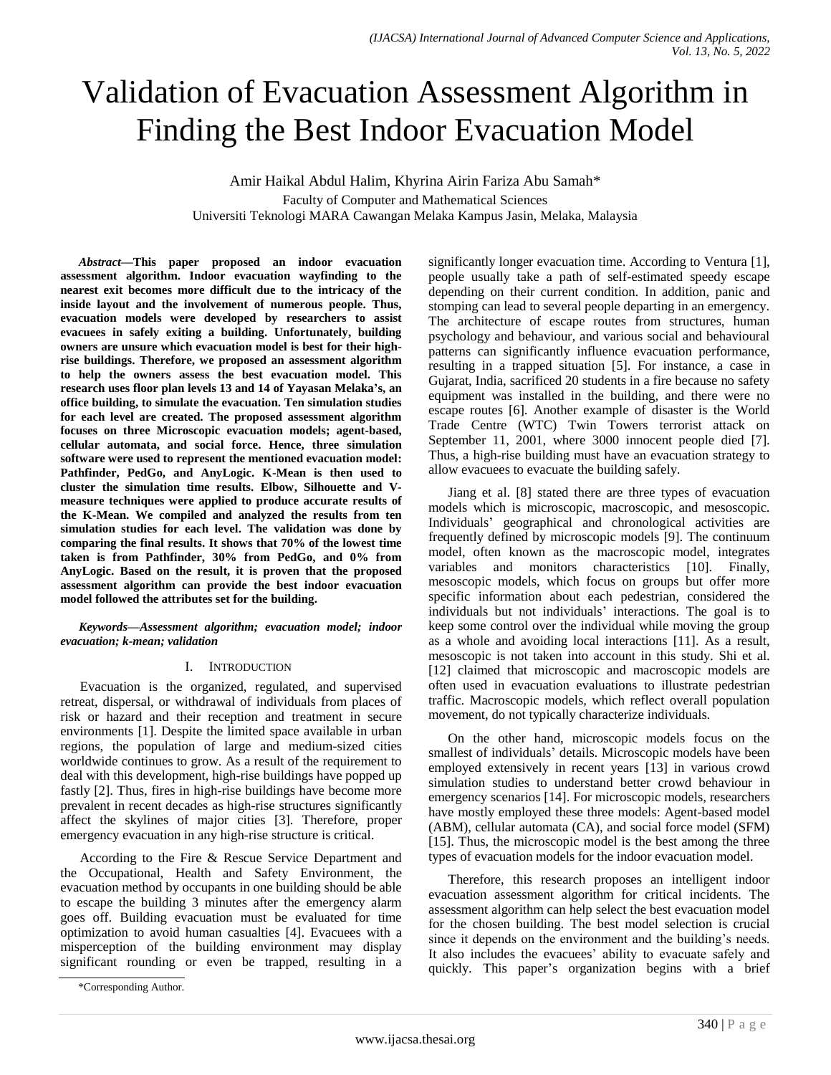# Validation of Evacuation Assessment Algorithm in Finding the Best Indoor Evacuation Model

Amir Haikal Abdul Halim, Khyrina Airin Fariza Abu Samah\* Faculty of Computer and Mathematical Sciences Universiti Teknologi MARA Cawangan Melaka Kampus Jasin, Melaka, Malaysia

*Abstract***—This paper proposed an indoor evacuation assessment algorithm. Indoor evacuation wayfinding to the nearest exit becomes more difficult due to the intricacy of the inside layout and the involvement of numerous people. Thus, evacuation models were developed by researchers to assist evacuees in safely exiting a building. Unfortunately, building owners are unsure which evacuation model is best for their highrise buildings. Therefore, we proposed an assessment algorithm to help the owners assess the best evacuation model. This research uses floor plan levels 13 and 14 of Yayasan Melaka's, an office building, to simulate the evacuation. Ten simulation studies for each level are created. The proposed assessment algorithm focuses on three Microscopic evacuation models; agent-based, cellular automata, and social force. Hence, three simulation software were used to represent the mentioned evacuation model: Pathfinder, PedGo, and AnyLogic. K-Mean is then used to cluster the simulation time results. Elbow, Silhouette and Vmeasure techniques were applied to produce accurate results of the K-Mean. We compiled and analyzed the results from ten simulation studies for each level. The validation was done by comparing the final results. It shows that 70% of the lowest time taken is from Pathfinder, 30% from PedGo, and 0% from AnyLogic. Based on the result, it is proven that the proposed assessment algorithm can provide the best indoor evacuation model followed the attributes set for the building.**

*Keywords—Assessment algorithm; evacuation model; indoor evacuation; k-mean; validation*

## I. INTRODUCTION

Evacuation is the organized, regulated, and supervised retreat, dispersal, or withdrawal of individuals from places of risk or hazard and their reception and treatment in secure environments [1]. Despite the limited space available in urban regions, the population of large and medium-sized cities worldwide continues to grow. As a result of the requirement to deal with this development, high-rise buildings have popped up fastly [2]. Thus, fires in high-rise buildings have become more prevalent in recent decades as high-rise structures significantly affect the skylines of major cities [3]. Therefore, proper emergency evacuation in any high-rise structure is critical.

According to the Fire & Rescue Service Department and the Occupational, Health and Safety Environment, the evacuation method by occupants in one building should be able to escape the building 3 minutes after the emergency alarm goes off. Building evacuation must be evaluated for time optimization to avoid human casualties [4]. Evacuees with a misperception of the building environment may display significant rounding or even be trapped, resulting in a significantly longer evacuation time. According to Ventura [1], people usually take a path of self-estimated speedy escape depending on their current condition. In addition, panic and stomping can lead to several people departing in an emergency. The architecture of escape routes from structures, human psychology and behaviour, and various social and behavioural patterns can significantly influence evacuation performance, resulting in a trapped situation [5]. For instance, a case in Gujarat, India, sacrificed 20 students in a fire because no safety equipment was installed in the building, and there were no escape routes [6]. Another example of disaster is the World Trade Centre (WTC) Twin Towers terrorist attack on September 11, 2001, where 3000 innocent people died [7]. Thus, a high-rise building must have an evacuation strategy to allow evacuees to evacuate the building safely.

Jiang et al. [8] stated there are three types of evacuation models which is microscopic, macroscopic, and mesoscopic. Individuals" geographical and chronological activities are frequently defined by microscopic models [9]. The continuum model, often known as the macroscopic model, integrates variables and monitors characteristics [10]. Finally, mesoscopic models, which focus on groups but offer more specific information about each pedestrian, considered the individuals but not individuals" interactions. The goal is to keep some control over the individual while moving the group as a whole and avoiding local interactions [11]. As a result, mesoscopic is not taken into account in this study. Shi et al. [12] claimed that microscopic and macroscopic models are often used in evacuation evaluations to illustrate pedestrian traffic. Macroscopic models, which reflect overall population movement, do not typically characterize individuals.

On the other hand, microscopic models focus on the smallest of individuals' details. Microscopic models have been employed extensively in recent years [13] in various crowd simulation studies to understand better crowd behaviour in emergency scenarios [14]. For microscopic models, researchers have mostly employed these three models: Agent-based model (ABM), cellular automata (CA), and social force model (SFM) [15]. Thus, the microscopic model is the best among the three types of evacuation models for the indoor evacuation model.

Therefore, this research proposes an intelligent indoor evacuation assessment algorithm for critical incidents. The assessment algorithm can help select the best evacuation model for the chosen building. The best model selection is crucial since it depends on the environment and the building's needs. It also includes the evacuees' ability to evacuate safely and quickly. This paper"s organization begins with a brief

<sup>\*</sup>Corresponding Author.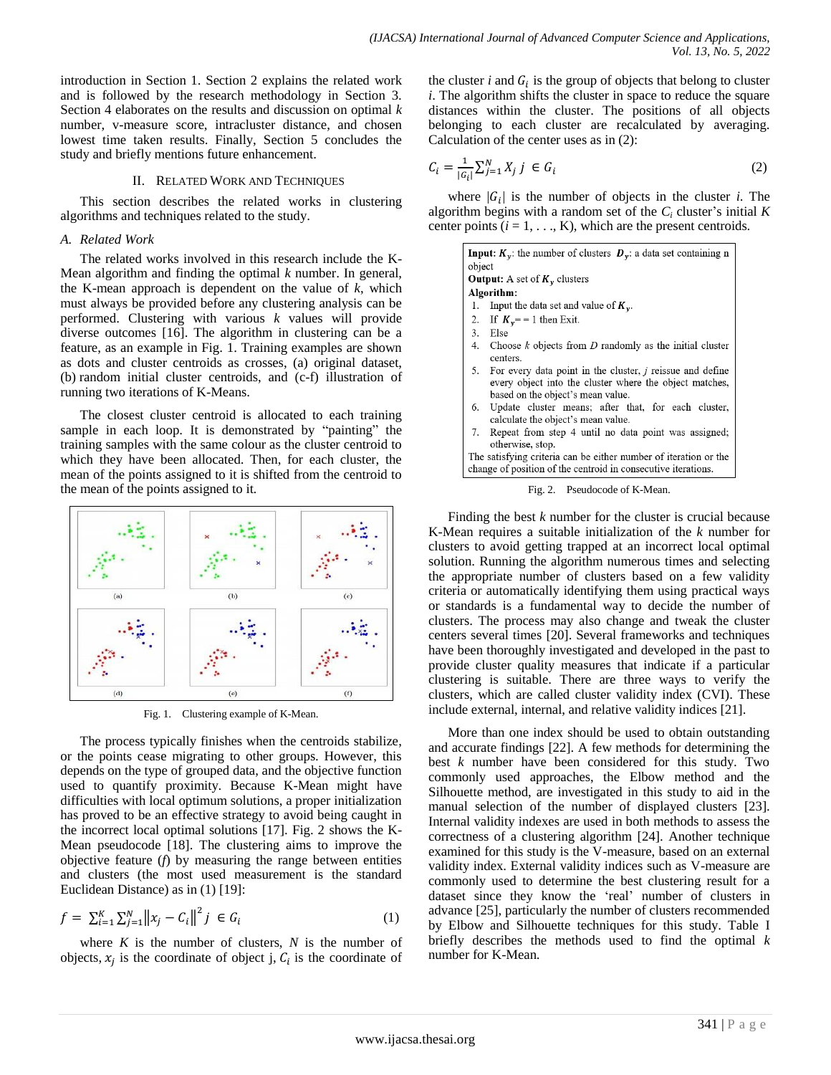introduction in Section 1. Section 2 explains the related work and is followed by the research methodology in Section 3. Section 4 elaborates on the results and discussion on optimal *k* number, v-measure score, intracluster distance, and chosen lowest time taken results. Finally, Section 5 concludes the study and briefly mentions future enhancement.

#### II. RELATED WORK AND TECHNIQUES

This section describes the related works in clustering algorithms and techniques related to the study.

#### *A. Related Work*

The related works involved in this research include the K-Mean algorithm and finding the optimal *k* number. In general, the K-mean approach is dependent on the value of *k*, which must always be provided before any clustering analysis can be performed. Clustering with various *k* values will provide diverse outcomes [16]. The algorithm in clustering can be a feature, as an example in Fig. 1. Training examples are shown as dots and cluster centroids as crosses, (a) original dataset, (b) random initial cluster centroids, and (c-f) illustration of running two iterations of K-Means.

The closest cluster centroid is allocated to each training sample in each loop. It is demonstrated by "painting" the training samples with the same colour as the cluster centroid to which they have been allocated. Then, for each cluster, the mean of the points assigned to it is shifted from the centroid to the mean of the points assigned to it.



Fig. 1. Clustering example of K-Mean.

The process typically finishes when the centroids stabilize, or the points cease migrating to other groups. However, this depends on the type of grouped data, and the objective function used to quantify proximity. Because K-Mean might have difficulties with local optimum solutions, a proper initialization has proved to be an effective strategy to avoid being caught in the incorrect local optimal solutions [17]. Fig. 2 shows the K-Mean pseudocode [18]. The clustering aims to improve the objective feature (*f*) by measuring the range between entities and clusters (the most used measurement is the standard Euclidean Distance) as in (1) [19]:

$$
f = \sum_{i=1}^{K} \sum_{j=1}^{N} ||x_j - C_i||^2 j \in G_i
$$
 (1)

where  $K$  is the number of clusters,  $N$  is the number of objects,  $x_i$  is the coordinate of object j,  $C_i$  is the coordinate of

the cluster  $i$  and  $G_i$  is the group of objects that belong to cluster *i*. The algorithm shifts the cluster in space to reduce the square distances within the cluster. The positions of all objects belonging to each cluster are recalculated by averaging. Calculation of the center uses as in (2):

$$
C_i = \frac{1}{|G_i|} \sum_{j=1}^{N} X_j \; j \; \in G_i \tag{2}
$$

where  $|G_i|$  is the number of objects in the cluster *i*. The algorithm begins with a random set of the  $C_i$  cluster's initial  $K$ center points  $(i = 1, \ldots, K)$ , which are the present centroids.

| <b>Input:</b> $K_v$ : the number of clusters $D_v$ : a data set containing n<br>object<br><b>Output:</b> A set of $K_v$ clusters  |                                                                                                                                                                  |  |  |  |
|-----------------------------------------------------------------------------------------------------------------------------------|------------------------------------------------------------------------------------------------------------------------------------------------------------------|--|--|--|
|                                                                                                                                   | Algorithm:                                                                                                                                                       |  |  |  |
| 1.                                                                                                                                | Input the data set and value of $K_v$ .                                                                                                                          |  |  |  |
|                                                                                                                                   | 2. If $K_v = -1$ then Exit.                                                                                                                                      |  |  |  |
|                                                                                                                                   | 3. Else                                                                                                                                                          |  |  |  |
|                                                                                                                                   | 4. Choose $k$ objects from $D$ randomly as the initial cluster<br>centers.                                                                                       |  |  |  |
| 5.                                                                                                                                | For every data point in the cluster, <i>j</i> reissue and define<br>every object into the cluster where the object matches,<br>based on the object's mean value. |  |  |  |
|                                                                                                                                   | 6. Update cluster means; after that, for each cluster,<br>calculate the object's mean value.                                                                     |  |  |  |
|                                                                                                                                   | 7. Repeat from step 4 until no data point was assigned;<br>otherwise, stop.                                                                                      |  |  |  |
| The satisfying criteria can be either number of iteration or the<br>change of position of the centroid in consecutive iterations. |                                                                                                                                                                  |  |  |  |
| Fig. 2. Pseudocode of K-Mean.                                                                                                     |                                                                                                                                                                  |  |  |  |

Finding the best *k* number for the cluster is crucial because K-Mean requires a suitable initialization of the *k* number for clusters to avoid getting trapped at an incorrect local optimal solution. Running the algorithm numerous times and selecting the appropriate number of clusters based on a few validity criteria or automatically identifying them using practical ways or standards is a fundamental way to decide the number of clusters. The process may also change and tweak the cluster centers several times [20]. Several frameworks and techniques have been thoroughly investigated and developed in the past to provide cluster quality measures that indicate if a particular clustering is suitable. There are three ways to verify the clusters, which are called cluster validity index (CVI). These include external, internal, and relative validity indices [21].

More than one index should be used to obtain outstanding and accurate findings [22]. A few methods for determining the best *k* number have been considered for this study. Two commonly used approaches, the Elbow method and the Silhouette method, are investigated in this study to aid in the manual selection of the number of displayed clusters [23]. Internal validity indexes are used in both methods to assess the correctness of a clustering algorithm [24]. Another technique examined for this study is the V-measure, based on an external validity index. External validity indices such as V-measure are commonly used to determine the best clustering result for a dataset since they know the "real" number of clusters in advance [25], particularly the number of clusters recommended by Elbow and Silhouette techniques for this study. Table I briefly describes the methods used to find the optimal *k* number for K-Mean.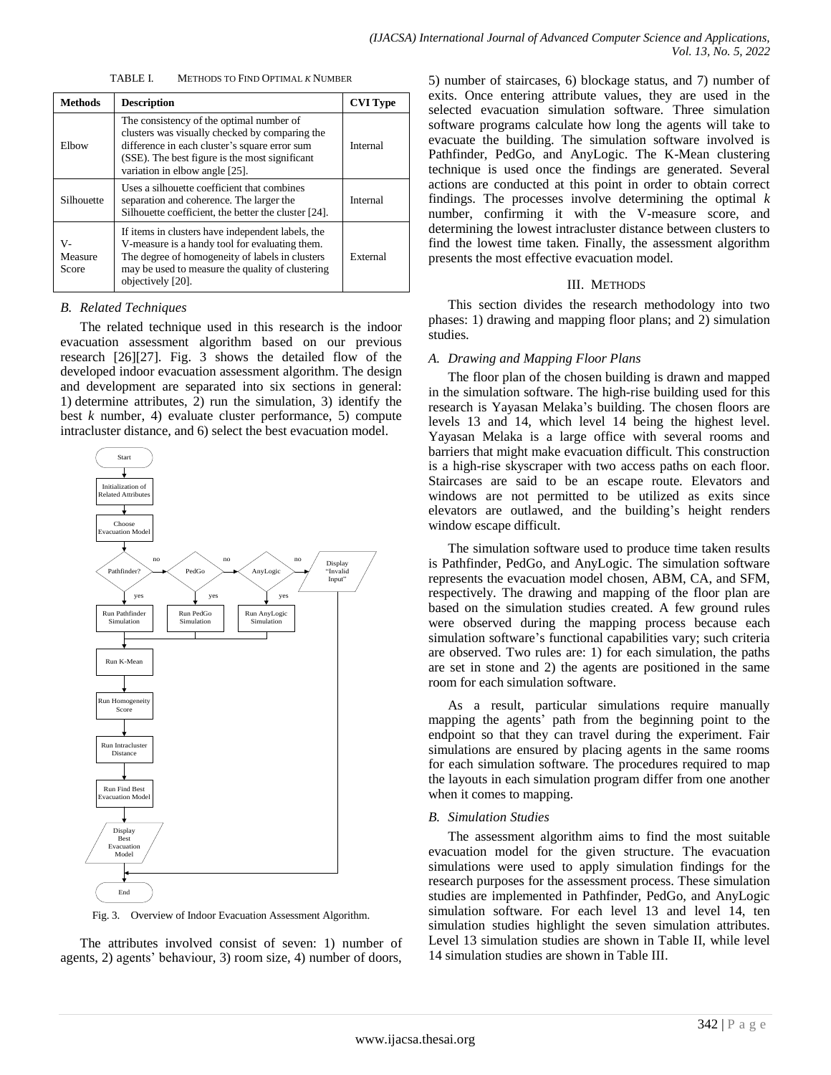| METHODS TO FIND OPTIMAL K NUMBER<br>TABLE L |
|---------------------------------------------|
|---------------------------------------------|

| <b>Methods</b>         | <b>Description</b>                                                                                                                                                                                                              | <b>CVI Type</b> |
|------------------------|---------------------------------------------------------------------------------------------------------------------------------------------------------------------------------------------------------------------------------|-----------------|
| Elbow                  | The consistency of the optimal number of<br>clusters was visually checked by comparing the<br>difference in each cluster's square error sum<br>(SSE). The best figure is the most significant<br>variation in elbow angle [25]. | Internal        |
| Silhouette             | Uses a silhouette coefficient that combines<br>separation and coherence. The larger the<br>Silhouette coefficient, the better the cluster [24].                                                                                 | Internal        |
| v-<br>Measure<br>Score | If items in clusters have independent labels, the<br>V-measure is a handy tool for evaluating them.<br>The degree of homogeneity of labels in clusters<br>may be used to measure the quality of clustering<br>objectively [20]. | External        |

#### *B. Related Techniques*

The related technique used in this research is the indoor evacuation assessment algorithm based on our previous research [26][27]. Fig. 3 shows the detailed flow of the developed indoor evacuation assessment algorithm. The design and development are separated into six sections in general: 1) determine attributes, 2) run the simulation, 3) identify the best *k* number, 4) evaluate cluster performance, 5) compute intracluster distance, and 6) select the best evacuation model.



Fig. 3. Overview of Indoor Evacuation Assessment Algorithm.

The attributes involved consist of seven: 1) number of agents, 2) agents" behaviour, 3) room size, 4) number of doors, 5) number of staircases, 6) blockage status, and 7) number of exits. Once entering attribute values, they are used in the selected evacuation simulation software. Three simulation software programs calculate how long the agents will take to evacuate the building. The simulation software involved is Pathfinder, PedGo, and AnyLogic. The K-Mean clustering technique is used once the findings are generated. Several actions are conducted at this point in order to obtain correct findings. The processes involve determining the optimal *k* number, confirming it with the V-measure score, and determining the lowest intracluster distance between clusters to find the lowest time taken. Finally, the assessment algorithm presents the most effective evacuation model.

### III. METHODS

This section divides the research methodology into two phases: 1) drawing and mapping floor plans; and 2) simulation studies.

#### *A. Drawing and Mapping Floor Plans*

The floor plan of the chosen building is drawn and mapped in the simulation software. The high-rise building used for this research is Yayasan Melaka"s building. The chosen floors are levels 13 and 14, which level 14 being the highest level. Yayasan Melaka is a large office with several rooms and barriers that might make evacuation difficult. This construction is a high-rise skyscraper with two access paths on each floor. Staircases are said to be an escape route. Elevators and windows are not permitted to be utilized as exits since elevators are outlawed, and the building"s height renders window escape difficult.

The simulation software used to produce time taken results is Pathfinder, PedGo, and AnyLogic. The simulation software represents the evacuation model chosen, ABM, CA, and SFM, respectively. The drawing and mapping of the floor plan are based on the simulation studies created. A few ground rules were observed during the mapping process because each simulation software"s functional capabilities vary; such criteria are observed. Two rules are: 1) for each simulation, the paths are set in stone and 2) the agents are positioned in the same room for each simulation software.

As a result, particular simulations require manually mapping the agents' path from the beginning point to the endpoint so that they can travel during the experiment. Fair simulations are ensured by placing agents in the same rooms for each simulation software. The procedures required to map the layouts in each simulation program differ from one another when it comes to mapping.

#### *B. Simulation Studies*

The assessment algorithm aims to find the most suitable evacuation model for the given structure. The evacuation simulations were used to apply simulation findings for the research purposes for the assessment process. These simulation studies are implemented in Pathfinder, PedGo, and AnyLogic simulation software. For each level 13 and level 14, ten simulation studies highlight the seven simulation attributes. Level 13 simulation studies are shown in Table II, while level 14 simulation studies are shown in Table III.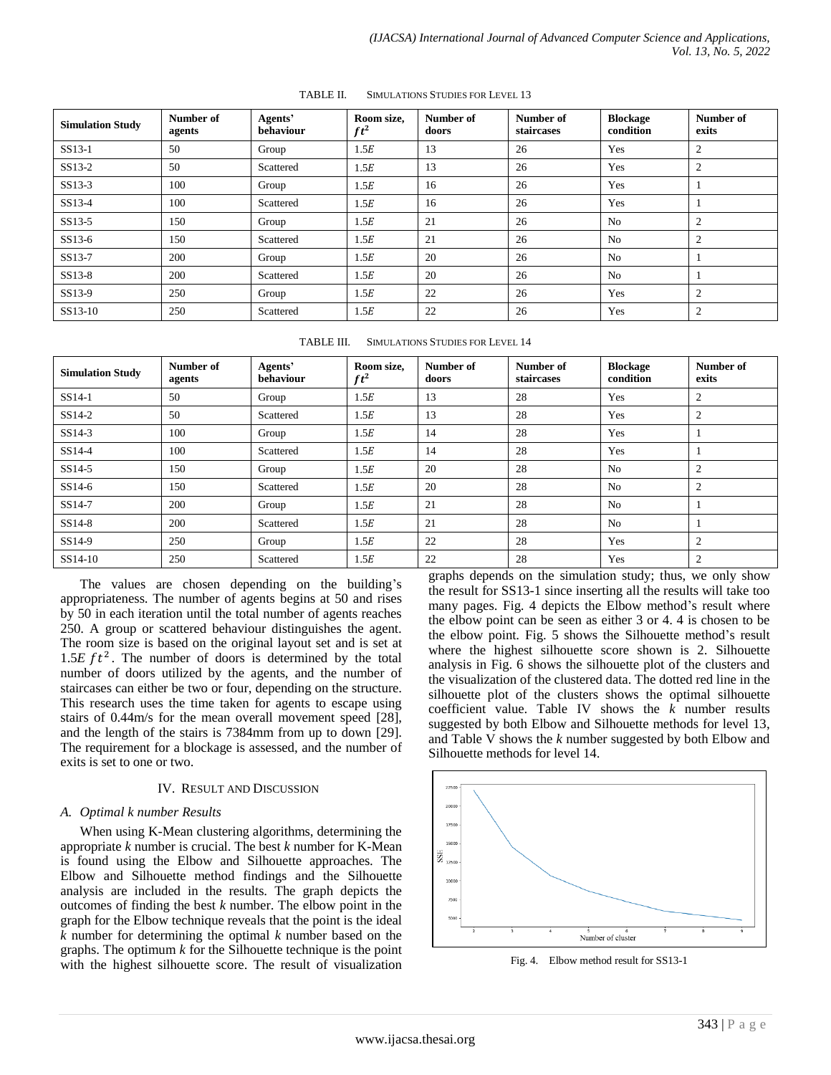| <b>Simulation Study</b> | <b>Number of</b><br>agents | Agents'<br>behaviour | Room size,<br>$ft^2$ | Number of<br>doors | Number of<br>staircases | <b>Blockage</b><br>condition | Number of<br>exits |
|-------------------------|----------------------------|----------------------|----------------------|--------------------|-------------------------|------------------------------|--------------------|
| SS13-1                  | 50                         | Group                | 1.5E                 | 13                 | 26                      | Yes                          | $\overline{2}$     |
| SS13-2                  | 50                         | Scattered            | 1.5E                 | 13                 | 26                      | Yes                          | 2                  |
| $SS13-3$                | 100                        | Group                | 1.5E                 | 16                 | 26                      | Yes                          |                    |
| SS13-4                  | 100                        | Scattered            | 1.5E                 | 16                 | 26                      | Yes                          |                    |
| $SS13-5$                | 150                        | Group                | 1.5E                 | 21                 | 26                      | N <sub>0</sub>               | $\overline{2}$     |
| SS13-6                  | 150                        | Scattered            | 1.5E                 | 21                 | 26                      | N <sub>0</sub>               | $\overline{2}$     |
| SS13-7                  | 200                        | Group                | 1.5E                 | 20                 | 26                      | N <sub>0</sub>               |                    |
| SS13-8                  | 200                        | Scattered            | 1.5E                 | 20                 | 26                      | N <sub>o</sub>               |                    |
| SS13-9                  | 250                        | Group                | 1.5E                 | 22                 | 26                      | Yes                          | 2                  |
| SS13-10                 | 250                        | Scattered            | 1.5E                 | 22                 | 26                      | Yes                          | 2                  |

TABLE II. SIMULATIONS STUDIES FOR LEVEL 13

| TABLE III. | <b>SIMULATIONS STUDIES FOR LEVEL 14</b> |
|------------|-----------------------------------------|
|            |                                         |

| <b>Simulation Study</b> | Number of<br>agents | Agents'<br>behaviour | Room size,<br>$ft^2$ | Number of<br>doors | Number of<br>staircases | <b>Blockage</b><br>condition | Number of<br>exits |
|-------------------------|---------------------|----------------------|----------------------|--------------------|-------------------------|------------------------------|--------------------|
| $SS14-1$                | 50                  | Group                | 1.5E                 | 13                 | 28                      | Yes                          | 2                  |
| SS14-2                  | 50                  | Scattered            | 1.5E                 | 13                 | 28                      | Yes                          | 2                  |
| SS14-3                  | 100                 | Group                | 1.5E                 | 14                 | 28                      | Yes                          |                    |
| $SS14-4$                | 100                 | Scattered            | 1.5E                 | 14                 | 28                      | Yes                          |                    |
| SS14-5                  | 150                 | Group                | 1.5E                 | 20                 | 28                      | N <sub>o</sub>               | 2                  |
| $SS14-6$                | 150                 | Scattered            | 1.5E                 | 20                 | 28                      | N <sub>0</sub>               | 2                  |
| SS14-7                  | 200                 | Group                | 1.5E                 | 21                 | 28                      | N <sub>o</sub>               |                    |
| $SS14-8$                | 200                 | Scattered            | 1.5E                 | 21                 | 28                      | N <sub>o</sub>               |                    |
| SS14-9                  | 250                 | Group                | 1.5E                 | 22                 | 28                      | Yes                          | $\overline{2}$     |
| SS14-10                 | 250                 | Scattered            | 1.5E                 | 22                 | 28                      | Yes                          | $\overline{2}$     |

The values are chosen depending on the building's appropriateness. The number of agents begins at 50 and rises by 50 in each iteration until the total number of agents reaches 250. A group or scattered behaviour distinguishes the agent. The room size is based on the original layout set and is set at 1.5 $E ft^2$ . The number of doors is determined by the total number of doors utilized by the agents, and the number of staircases can either be two or four, depending on the structure. This research uses the time taken for agents to escape using stairs of 0.44m/s for the mean overall movement speed [28], and the length of the stairs is 7384mm from up to down [29]. The requirement for a blockage is assessed, and the number of exits is set to one or two.

#### IV. RESULT AND DISCUSSION

#### *A. Optimal k number Results*

When using K-Mean clustering algorithms, determining the appropriate *k* number is crucial. The best *k* number for K-Mean is found using the Elbow and Silhouette approaches. The Elbow and Silhouette method findings and the Silhouette analysis are included in the results. The graph depicts the outcomes of finding the best *k* number. The elbow point in the graph for the Elbow technique reveals that the point is the ideal *k* number for determining the optimal *k* number based on the graphs. The optimum *k* for the Silhouette technique is the point with the highest silhouette score. The result of visualization graphs depends on the simulation study; thus, we only show the result for SS13-1 since inserting all the results will take too many pages. Fig. 4 depicts the Elbow method's result where the elbow point can be seen as either 3 or 4. 4 is chosen to be the elbow point. Fig. 5 shows the Silhouette method"s result where the highest silhouette score shown is 2. Silhouette analysis in Fig. 6 shows the silhouette plot of the clusters and the visualization of the clustered data. The dotted red line in the silhouette plot of the clusters shows the optimal silhouette coefficient value. Table IV shows the *k* number results suggested by both Elbow and Silhouette methods for level 13, and Table V shows the *k* number suggested by both Elbow and Silhouette methods for level 14.



Fig. 4. Elbow method result for SS13-1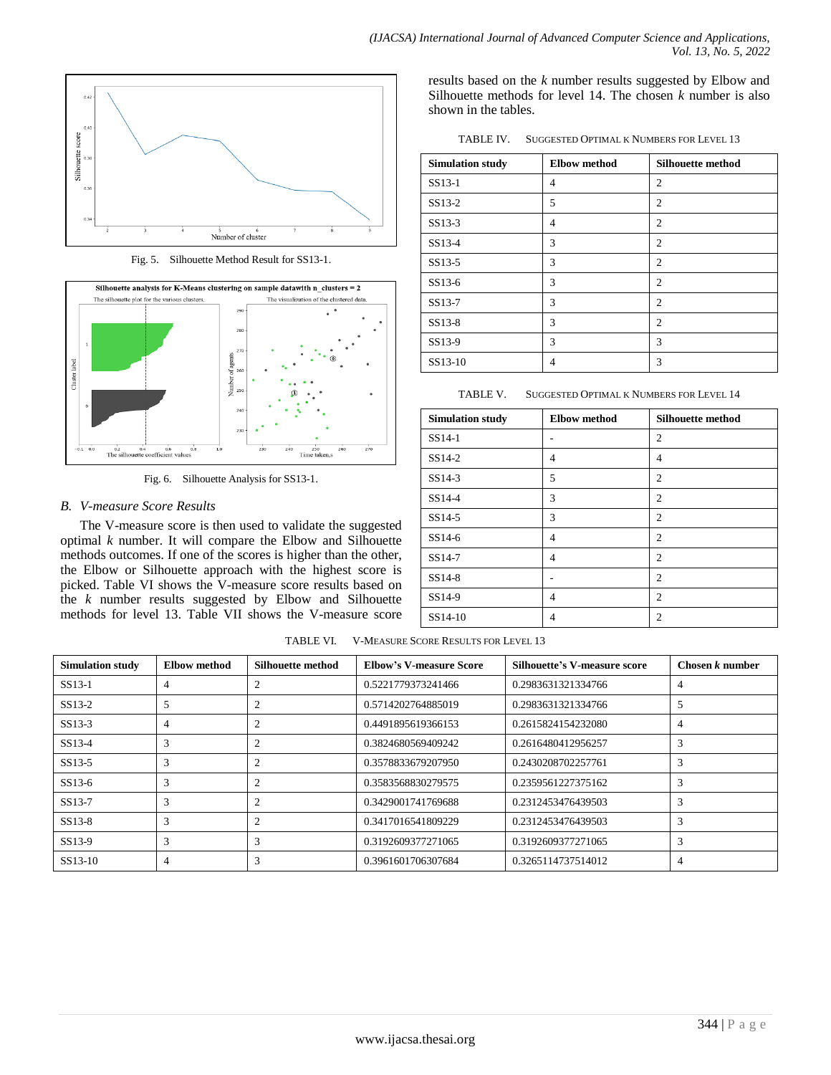

Fig. 5. Silhouette Method Result for SS13-1.



Fig. 6. Silhouette Analysis for SS13-1.

## *B. V-measure Score Results*

The V-measure score is then used to validate the suggested optimal *k* number. It will compare the Elbow and Silhouette methods outcomes. If one of the scores is higher than the other, the Elbow or Silhouette approach with the highest score is picked. Table VI shows the V-measure score results based on the *k* number results suggested by Elbow and Silhouette methods for level 13. Table VII shows the V-measure score results based on the *k* number results suggested by Elbow and Silhouette methods for level 14. The chosen *k* number is also shown in the tables.

TABLE IV. SUGGESTED OPTIMAL K NUMBERS FOR LEVEL 13

| <b>Simulation study</b> | <b>Elbow</b> method | <b>Silhouette method</b> |
|-------------------------|---------------------|--------------------------|
| SS13-1                  | 4                   | 2                        |
| SS13-2                  | 5                   | 2                        |
| SS13-3                  | 4                   | $\overline{2}$           |
| SS13-4                  | 3                   | $\overline{c}$           |
| SS13-5                  | 3                   | 2                        |
| SS13-6                  | 3                   | 2                        |
| SS13-7                  | 3                   | 2                        |
| SS13-8                  | 3                   | $\overline{c}$           |
| SS13-9                  | 3                   | 3                        |
| SS13-10                 | 4                   | 3                        |

TABLE V. SUGGESTED OPTIMAL K NUMBERS FOR LEVEL 14

| <b>Simulation study</b> | <b>Elbow</b> method | <b>Silhouette method</b> |
|-------------------------|---------------------|--------------------------|
| SS14-1                  |                     | $\overline{c}$           |
| $SS14-2$                | 4                   | 4                        |
| SS14-3                  | 5                   | $\overline{2}$           |
| SS14-4                  | 3                   | $\overline{2}$           |
| $SS14-5$                | 3                   | $\overline{2}$           |
| $SS14-6$                | 4                   | $\overline{2}$           |
| SS14-7                  | 4                   | $\overline{2}$           |
| SS14-8                  | ۰                   | $\overline{2}$           |
| SS14-9                  | 4                   | $\overline{2}$           |
| SS14-10                 | 4                   | $\overline{2}$           |

TABLE VI. V-MEASURE SCORE RESULTS FOR LEVEL 13

| <b>Simulation study</b> | Elbow method | Silhouette method | <b>Elbow's V-measure Score</b> | Silhouette's V-measure score | Chosen $k$ number |
|-------------------------|--------------|-------------------|--------------------------------|------------------------------|-------------------|
| $SS13-1$                |              | $\Omega$          | 0.5221779373241466             | 0.2983631321334766           | $\overline{4}$    |
| SS <sub>13</sub> -2     |              |                   | 0.5714202764885019             | 0.2983631321334766           | 5                 |
| SS13-3                  |              |                   | 0.4491895619366153             | 0.2615824154232080           | $\overline{4}$    |
| SS13-4                  | 3            | $\mathcal{D}$     | 0.3824680569409242             | 0.2616480412956257           | 3                 |
| SS <sub>13</sub> -5     |              |                   | 0.3578833679207950             | 0.2430208702257761           | 3                 |
| $SS13-6$                |              |                   | 0.3583568830279575             | 0.2359561227375162           | $\mathbf{3}$      |
| SS13-7                  | 3            | $\overline{c}$    | 0.3429001741769688             | 0.2312453476439503           | 3                 |
| $SS13-8$                |              |                   | 0.3417016541809229             | 0.2312453476439503           | $\mathcal{R}$     |
| SS13-9                  | 3            | 3                 | 0.3192609377271065             | 0.3192609377271065           | $\mathcal{R}$     |
| SS13-10                 |              | 3                 | 0.3961601706307684             | 0.3265114737514012           | 4                 |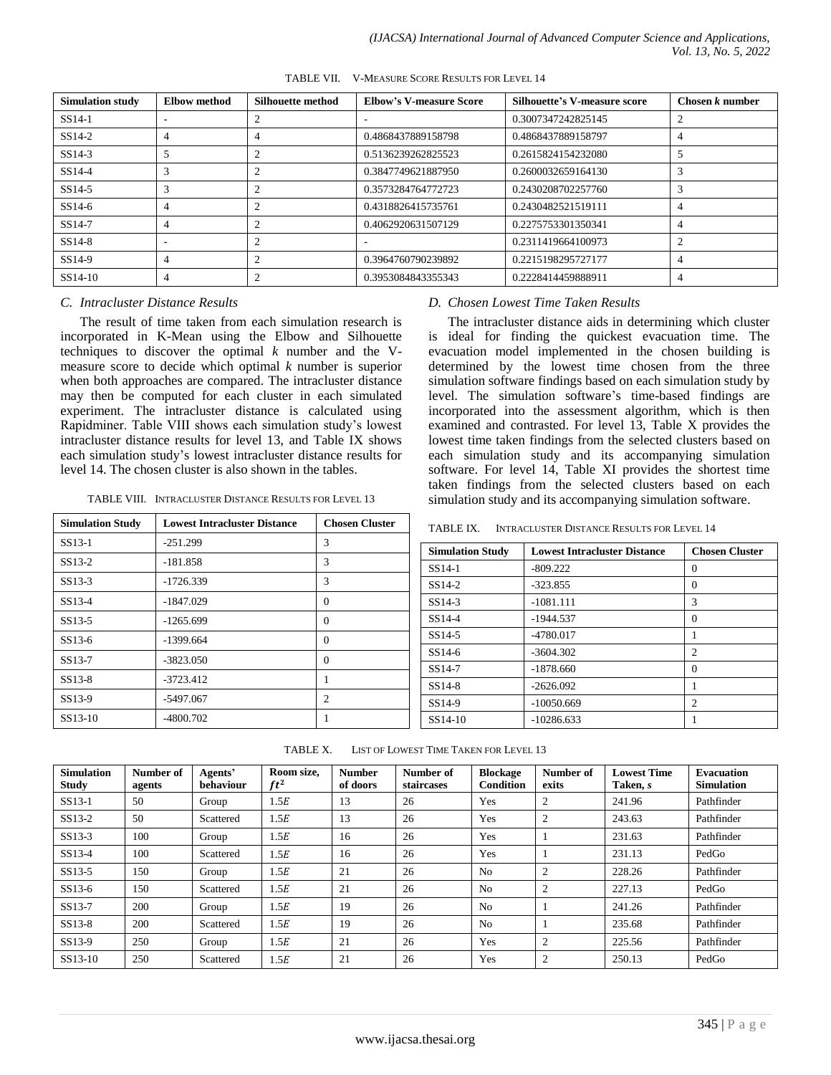| <b>Simulation study</b> | Elbow method | Silhouette method | <b>Elbow's V-measure Score</b> | Silhouette's V-measure score | Chosen $k$ number |
|-------------------------|--------------|-------------------|--------------------------------|------------------------------|-------------------|
| $SS14-1$                |              |                   | ۰                              | 0.3007347242825145           |                   |
| $SS14-2$                | 4            | 4                 | 0.4868437889158798             | 0.4868437889158797           | 4                 |
| $SS14-3$                |              |                   | 0.5136239262825523             | 0.2615824154232080           |                   |
| $SS14-4$                |              |                   | 0.3847749621887950             | 0.2600032659164130           |                   |
| $SS14-5$                |              |                   | 0.3573284764772723             | 0.2430208702257760           |                   |
| $SS14-6$                |              | ◠                 | 0.4318826415735761             | 0.2430482521519111           |                   |
| SS14-7                  | 4            | ◠                 | 0.4062920631507129             | 0.2275753301350341           | 4                 |
| $SS14-8$                |              |                   |                                | 0.2311419664100973           |                   |
| SS <sub>14-9</sub>      |              | ◠                 | 0.3964760790239892             | 0.2215198295727177           |                   |
| SS14-10                 | 4            |                   | 0.3953084843355343             | 0.2228414459888911           | 4                 |

TABLE VII. V-MEASURE SCORE RESULTS FOR LEVEL 14

### *C. Intracluster Distance Results*

The result of time taken from each simulation research is incorporated in K-Mean using the Elbow and Silhouette techniques to discover the optimal *k* number and the Vmeasure score to decide which optimal *k* number is superior when both approaches are compared. The intracluster distance may then be computed for each cluster in each simulated experiment. The intracluster distance is calculated using Rapidminer. Table VIII shows each simulation study"s lowest intracluster distance results for level 13, and Table IX shows each simulation study"s lowest intracluster distance results for level 14. The chosen cluster is also shown in the tables.

|  | TABLE VIII. INTRACLUSTER DISTANCE RESULTS FOR LEVEL 13 |
|--|--------------------------------------------------------|
|--|--------------------------------------------------------|

| <b>Simulation Study</b> | <b>Lowest Intracluster Distance</b> | <b>Chosen Cluster</b> |
|-------------------------|-------------------------------------|-----------------------|
| SS <sub>13</sub> -1     | $-251.299$                          | 3                     |
| SS13-2                  | $-181.858$                          | 3                     |
| $SS13-3$                | $-1726.339$                         | 3                     |
| $SS13-4$                | $-1847.029$                         | $\Omega$              |
| $SS13-5$                | $-1265.699$                         | $\theta$              |
| $SS13-6$                | $-1399.664$                         | $\theta$              |
| SS <sub>13-7</sub>      | $-3823.050$                         | $\Omega$              |
| $SS13-8$                | $-3723.412$                         | 1                     |
| SS13-9                  | $-5497.067$                         | $\overline{c}$        |
| SS13-10                 | $-4800.702$                         |                       |

#### *D. Chosen Lowest Time Taken Results*

The intracluster distance aids in determining which cluster is ideal for finding the quickest evacuation time. The evacuation model implemented in the chosen building is determined by the lowest time chosen from the three simulation software findings based on each simulation study by level. The simulation software"s time-based findings are incorporated into the assessment algorithm, which is then examined and contrasted. For level 13, Table X provides the lowest time taken findings from the selected clusters based on each simulation study and its accompanying simulation software. For level 14, Table XI provides the shortest time taken findings from the selected clusters based on each simulation study and its accompanying simulation software.

TABLE IX. INTRACLUSTER DISTANCE RESULTS FOR LEVEL 14

| <b>Simulation Study</b> | <b>Lowest Intracluster Distance</b> | <b>Chosen Cluster</b> |
|-------------------------|-------------------------------------|-----------------------|
| SS14-1                  | $-809.222$                          | $\theta$              |
| SS14-2                  | $-323.855$                          | $\Omega$              |
| $SS14-3$                | $-1081.111$                         | 3                     |
| SS14-4                  | $-1944.537$                         | $\Omega$              |
| SS <sub>14-5</sub>      | $-4780.017$                         |                       |
| SS14-6                  | $-3604.302$                         | $\overline{c}$        |
| SS <sub>14-7</sub>      | $-1878.660$                         | $\Omega$              |
| SS <sub>14-8</sub>      | $-2626.092$                         |                       |
| SS14-9                  | $-10050.669$                        | $\overline{c}$        |
| SS14-10                 | $-10286.633$                        |                       |

| <b>Simulation</b><br><b>Study</b> | Number of<br>agents | Agents'<br>behaviour | Room size.<br>$ft^2$ | <b>Number</b><br>of doors | Number of<br>staircases | <b>Blockage</b><br>Condition | Number of<br>exits | <b>Lowest Time</b><br>Taken, s | <b>Evacuation</b><br><b>Simulation</b> |
|-----------------------------------|---------------------|----------------------|----------------------|---------------------------|-------------------------|------------------------------|--------------------|--------------------------------|----------------------------------------|
| $SS13-1$                          | 50                  | Group                | 1.5E                 | 13                        | 26                      | Yes                          | $\overline{c}$     | 241.96                         | Pathfinder                             |
| $SS13-2$                          | 50                  | Scattered            | 1.5E                 | 13                        | 26                      | Yes                          | 2                  | 243.63                         | Pathfinder                             |
| SS13-3                            | 100                 | Group                | 1.5E                 | 16                        | 26                      | Yes                          |                    | 231.63                         | Pathfinder                             |
| SS13-4                            | 100                 | Scattered            | 1.5E                 | 16                        | 26                      | Yes                          |                    | 231.13                         | PedGo                                  |
| SS13-5                            | 150                 | Group                | 1.5E                 | 21                        | 26                      | N <sub>0</sub>               | 2                  | 228.26                         | Pathfinder                             |
| SS13-6                            | 150                 | Scattered            | 1.5E                 | 21                        | 26                      | No                           | $\overline{2}$     | 227.13                         | PedGo                                  |
| SS13-7                            | 200                 | Group                | 1.5E                 | 19                        | 26                      | No                           |                    | 241.26                         | Pathfinder                             |
| SS13-8                            | 200                 | Scattered            | 1.5E                 | 19                        | 26                      | N <sub>o</sub>               |                    | 235.68                         | Pathfinder                             |
| SS13-9                            | 250                 | Group                | 1.5E                 | 21                        | 26                      | Yes                          | $\overline{2}$     | 225.56                         | Pathfinder                             |
| SS13-10                           | 250                 | Scattered            | 1.5E                 | 21                        | 26                      | Yes                          | 2                  | 250.13                         | PedGo                                  |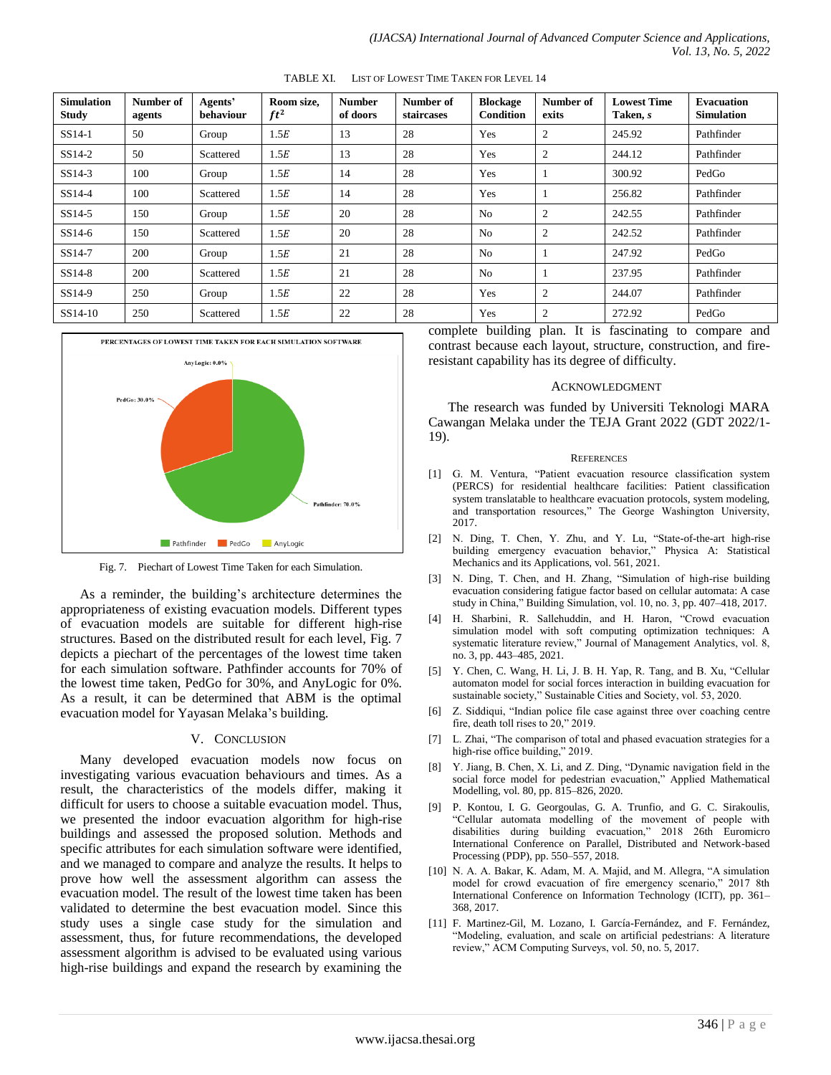| <b>Simulation</b><br><b>Study</b> | Number of<br>agents | Agents'<br>behaviour | Room size,<br>$ft^2$ | <b>Number</b><br>of doors | Number of<br>staircases | <b>Blockage</b><br>Condition | Number of<br>exits | <b>Lowest Time</b><br>Taken, s | <b>Evacuation</b><br><b>Simulation</b> |
|-----------------------------------|---------------------|----------------------|----------------------|---------------------------|-------------------------|------------------------------|--------------------|--------------------------------|----------------------------------------|
| SS14-1                            | 50                  | Group                | 1.5E                 | 13                        | 28                      | Yes                          | 2                  | 245.92                         | Pathfinder                             |
| $SS14-2$                          | 50                  | Scattered            | 1.5E                 | 13                        | 28                      | Yes                          | 2                  | 244.12                         | Pathfinder                             |
| $SS14-3$                          | 100                 | Group                | 1.5E                 | 14                        | 28                      | Yes                          |                    | 300.92                         | PedGo                                  |
| $SS14-4$                          | 100                 | Scattered            | 1.5E                 | 14                        | 28                      | Yes                          |                    | 256.82                         | Pathfinder                             |
| $SS14-5$                          | 150                 | Group                | 1.5E                 | 20                        | 28                      | N <sub>o</sub>               | 2                  | 242.55                         | Pathfinder                             |
| $SS14-6$                          | 150                 | Scattered            | 1.5E                 | 20                        | 28                      | No                           | 2                  | 242.52                         | Pathfinder                             |
| SS14-7                            | 200                 | Group                | 1.5E                 | 21                        | 28                      | N <sub>0</sub>               |                    | 247.92                         | PedGo                                  |
| $SS14-8$                          | 200                 | Scattered            | 1.5E                 | 21                        | 28                      | N <sub>o</sub>               |                    | 237.95                         | Pathfinder                             |
| SS14-9                            | 250                 | Group                | 1.5E                 | 22                        | 28                      | Yes                          | 2                  | 244.07                         | Pathfinder                             |
| SS14-10                           | 250                 | Scattered            | 1.5E                 | 22                        | 28                      | Yes                          | 2                  | 272.92                         | PedGo                                  |

TABLE XI. LIST OF LOWEST TIME TAKEN FOR LEVEL 14



Fig. 7. Piechart of Lowest Time Taken for each Simulation.

As a reminder, the building"s architecture determines the appropriateness of existing evacuation models. Different types of evacuation models are suitable for different high-rise structures. Based on the distributed result for each level, Fig. 7 depicts a piechart of the percentages of the lowest time taken for each simulation software. Pathfinder accounts for 70% of the lowest time taken, PedGo for 30%, and AnyLogic for 0%. As a result, it can be determined that ABM is the optimal evacuation model for Yayasan Melaka"s building.

#### V. CONCLUSION

Many developed evacuation models now focus on investigating various evacuation behaviours and times. As a result, the characteristics of the models differ, making it difficult for users to choose a suitable evacuation model. Thus, we presented the indoor evacuation algorithm for high-rise buildings and assessed the proposed solution. Methods and specific attributes for each simulation software were identified, and we managed to compare and analyze the results. It helps to prove how well the assessment algorithm can assess the evacuation model. The result of the lowest time taken has been validated to determine the best evacuation model. Since this study uses a single case study for the simulation and assessment, thus, for future recommendations, the developed assessment algorithm is advised to be evaluated using various high-rise buildings and expand the research by examining the complete building plan. It is fascinating to compare and contrast because each layout, structure, construction, and fireresistant capability has its degree of difficulty.

#### ACKNOWLEDGMENT

The research was funded by Universiti Teknologi MARA Cawangan Melaka under the TEJA Grant 2022 (GDT 2022/1- 19).

#### **REFERENCES**

- [1] G. M. Ventura, "Patient evacuation resource classification system (PERCS) for residential healthcare facilities: Patient classification system translatable to healthcare evacuation protocols, system modeling, and transportation resources," The George Washington University, 2017.
- [2] N. Ding, T. Chen, Y. Zhu, and Y. Lu, "State-of-the-art high-rise building emergency evacuation behavior," Physica A: Statistical Mechanics and its Applications, vol. 561, 2021.
- [3] N. Ding, T. Chen, and H. Zhang, "Simulation of high-rise building evacuation considering fatigue factor based on cellular automata: A case study in China," Building Simulation, vol. 10, no. 3, pp. 407–418, 2017.
- [4] H. Sharbini, R. Sallehuddin, and H. Haron, "Crowd evacuation simulation model with soft computing optimization techniques: A systematic literature review," Journal of Management Analytics, vol. 8, no. 3, pp. 443–485, 2021.
- [5] Y. Chen, C. Wang, H. Li, J. B. H. Yap, R. Tang, and B. Xu, "Cellular automaton model for social forces interaction in building evacuation for sustainable society," Sustainable Cities and Society, vol. 53, 2020.
- [6] Z. Siddiqui, "Indian police file case against three over coaching centre fire, death toll rises to 20," 2019.
- [7] L. Zhai, "The comparison of total and phased evacuation strategies for a high-rise office building," 2019.
- [8] Y. Jiang, B. Chen, X. Li, and Z. Ding, "Dynamic navigation field in the social force model for pedestrian evacuation," Applied Mathematical Modelling, vol. 80, pp. 815–826, 2020.
- [9] P. Kontou, I. G. Georgoulas, G. A. Trunfio, and G. C. Sirakoulis, "Cellular automata modelling of the movement of people with disabilities during building evacuation," 2018 26th Euromicro International Conference on Parallel, Distributed and Network-based Processing (PDP), pp. 550–557, 2018.
- [10] N. A. A. Bakar, K. Adam, M. A. Majid, and M. Allegra, "A simulation model for crowd evacuation of fire emergency scenario," 2017 8th International Conference on Information Technology (ICIT), pp. 361– 368, 2017.
- [11] F. Martinez-Gil, M. Lozano, I. García-Fernández, and F. Fernández, "Modeling, evaluation, and scale on artificial pedestrians: A literature review," ACM Computing Surveys, vol. 50, no. 5, 2017.